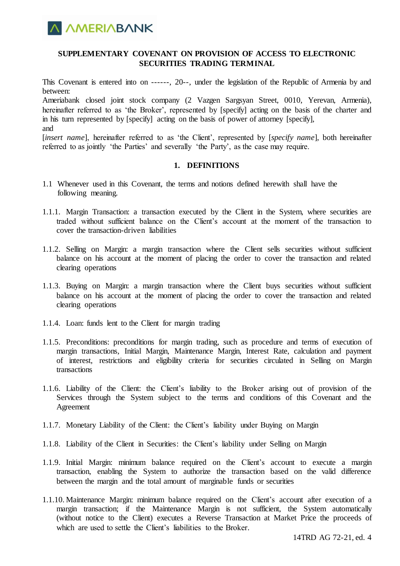

## **SUPPLEMENTARY COVENANT ON PROVISION OF ACCESS TO ELECTRONIC SECURITIES TRADING TERMINAL**

This Covenant is entered into on ------, 20--, under the legislation of the Republic of Armenia by and between:

Ameriabank closed joint stock company (2 Vazgen Sargsyan Street, 0010, Yerevan, Armenia), hereinafter referred to as 'the Broker', represented by [specify] acting on the basis of the charter and in his turn represented by [specify] acting on the basis of power of attorney [specify], and

[*insert name*], hereinafter referred to as 'the Client', represented by [*specify name*], both hereinafter referred to as jointly 'the Parties' and severally 'the Party', as the case may require.

#### **1. DEFINITIONS**

- 1.1 Whenever used in this Covenant, the terms and notions defined herewith shall have the following meaning.
- 1.1.1. Margin Transaction: a transaction executed by the Client in the System, where securities are traded without sufficient balance on the Client's account at the moment of the transaction to cover the transaction-driven liabilities
- 1.1.2. Selling on Margin: a margin transaction where the Client sells securities without sufficient balance on his account at the moment of placing the order to cover the transaction and related clearing operations
- 1.1.3. Buying on Margin: a margin transaction where the Client buys securities without sufficient balance on his account at the moment of placing the order to cover the transaction and related clearing operations
- 1.1.4. Loan: funds lent to the Client for margin trading
- 1.1.5. Preconditions: preconditions for margin trading, such as procedure and terms of execution of margin transactions, Initial Margin, Maintenance Margin, Interest Rate, calculation and payment of interest, restrictions and eligibility criteria for securities circulated in Selling on Margin transactions
- 1.1.6. Liability of the Client: the Client's liability to the Broker arising out of provision of the Services through the System subject to the terms and conditions of this Covenant and the Agreement
- 1.1.7. Monetary Liability of the Client: the Client's liability under Buying on Margin
- 1.1.8. Liability of the Client in Securities: the Client's liability under Selling on Margin
- 1.1.9. Initial Margin: minimum balance required on the Client's account to execute a margin transaction, enabling the System to authorize the transaction based on the valid difference between the margin and the total amount of marginable funds or securities
- 1.1.10. Maintenance Margin: minimum balance required on the Client's account after execution of a margin transaction; if the Maintenance Margin is not sufficient, the System automatically (without notice to the Client) executes a Reverse Transaction at Market Price the proceeds of which are used to settle the Client's liabilities to the Broker.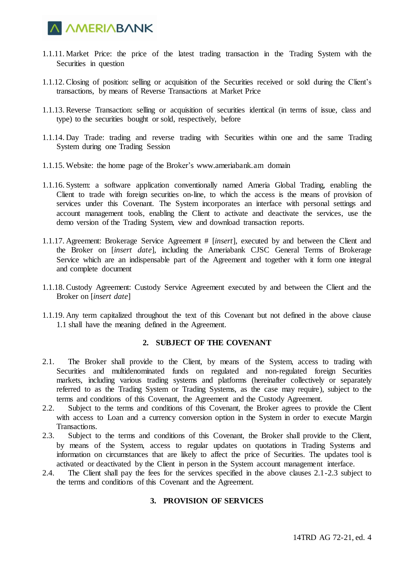

- 1.1.11. Market Price: the price of the latest trading transaction in the Trading System with the Securities in question
- 1.1.12. Closing of position: selling or acquisition of the Securities received or sold during the Client's transactions, by means of Reverse Transactions at Market Price
- 1.1.13. Reverse Transaction: selling or acquisition of securities identical (in terms of issue, class and type) to the securities bought or sold, respectively, before
- 1.1.14. Day Trade: trading and reverse trading with Securities within one and the same Trading System during one Trading Session
- 1.1.15. Website: the home page of the Broker's [www.ameriabank.am](http://www.ameriabank.am/) domain
- 1.1.16. System: a software application conventionally named Ameria Global Trading, enabling the Client to trade with foreign securities on-line, to which the access is the means of provision of services under this Covenant. The System incorporates an interface with personal settings and account management tools, enabling the Client to activate and deactivate the services, use the demo version of the Trading System, view and download transaction reports.
- 1.1.17. Agreement: Brokerage Service Agreement # [*insert*], executed by and between the Client and the Broker on [*insert date*], including the Ameriabank CJSC General Terms of Brokerage Service which are an indispensable part of the Agreement and together with it form one integral and complete document
- 1.1.18. Custody Agreement: Custody Service Agreement executed by and between the Client and the Broker on [*insert date*]
- 1.1.19. Any term capitalized throughout the text of this Covenant but not defined in the above clause 1.1 shall have the meaning defined in the Agreement.

### **2. SUBJECT OF THE COVENANT**

- 2.1. The Broker shall provide to the Client, by means of the System, access to trading with Securities and multidenominated funds on regulated and non-regulated foreign Securities markets, including various trading systems and platforms (hereinafter collectively or separately referred to as the Trading System or Trading Systems, as the case may require), subject to the terms and conditions of this Covenant, the Agreement and the Custody Agreement.
- 2.2. Subject to the terms and conditions of this Covenant, the Broker agrees to provide the Client with access to Loan and a currency conversion option in the System in order to execute Margin Transactions.
- 2.3. Subject to the terms and conditions of this Covenant, the Broker shall provide to the Client, by means of the System, access to regular updates on quotations in Trading Systems and information on circumstances that are likely to affect the price of Securities. The updates tool is activated or deactivated by the Client in person in the System account management interface.
- 2.4. The Client shall pay the fees for the services specified in the above clauses 2.1-2.3 subject to the terms and conditions of this Covenant and the Agreement.

## **3. PROVISION OF SERVICES**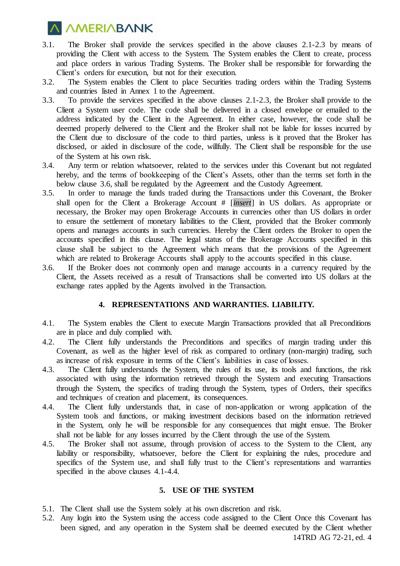

- 3.1. The Broker shall provide the services specified in the above clauses 2.1-2.3 by means of providing the Client with access to the System. The System enables the Client to create, process and place orders in various Trading Systems. The Broker shall be responsible for forwarding the Client's orders for execution, but not for their execution.
- 3.2. The System enables the Client to place Securities trading orders within the Trading Systems and countries listed in Annex 1 to the Agreement.
- 3.3. To provide the services specified in the above clauses 2.1-2.3, the Broker shall provide to the Client a System user code. The code shall be delivered in a closed envelope or emailed to the address indicated by the Client in the Agreement. In either case, however, the code shall be deemed properly delivered to the Client and the Broker shall not be liable for losses incurred by the Client due to disclosure of the code to third parties, unless is it proved that the Broker has disclosed, or aided in disclosure of the code, willfully. The Client shall be responsible for the use of the System at his own risk.
- 3.4. Any term or relation whatsoever, related to the services under this Covenant but not regulated hereby, and the terms of bookkeeping of the Client's Assets, other than the terms set forth in the below clause 3.6, shall be regulated by the Agreement and the Custody Agreement.
- 3.5. In order to manage the funds traded during the Transactions under this Covenant, the Broker shall open for the Client a Brokerage Account # [*insert*] in US dollars. As appropriate or necessary, the Broker may open Brokerage Accounts in currencies other than US dollars in order to ensure the settlement of monetary liabilities to the Client, provided that the Broker commonly opens and manages accounts in such currencies. Hereby the Client orders the Broker to open the accounts specified in this clause. The legal status of the Brokerage Accounts specified in this clause shall be subject to the Agreement which means that the provisions of the Agreement which are related to Brokerage Accounts shall apply to the accounts specified in this clause.
- 3.6. If the Broker does not commonly open and manage accounts in a currency required by the Client, the Assets received as a result of Transactions shall be converted into US dollars at the exchange rates applied by the Agents involved in the Transaction.

#### **4. REPRESENTATIONS AND WARRANTIES. LIABILITY.**

- 4.1. The System enables the Client to execute Margin Transactions provided that all Preconditions are in place and duly complied with.
- 4.2. The Client fully understands the Preconditions and specifics of margin trading under this Covenant, as well as the higher level of risk as compared to ordinary (non-margin) trading, such as increase of risk exposure in terms of the Client's liabilities in case of losses.
- 4.3. The Client fully understands the System, the rules of its use, its tools and functions, the risk associated with using the information retrieved through the System and executing Transactions through the System, the specifics of trading through the System, types of Orders, their specifics and techniques of creation and placement, its consequences.
- 4.4. The Client fully understands that, in case of non-application or wrong application of the System tools and functions, or making investment decisions based on the information retrieved in the System, only he will be responsible for any consequences that might ensue. The Broker shall not be liable for any losses incurred by the Client through the use of the System.
- 4.5. The Broker shall not assume, through provision of access to the System to the Client, any liability or responsibility, whatsoever, before the Client for explaining the rules, procedure and specifics of the System use, and shall fully trust to the Client's representations and warranties specified in the above clauses 4.1-4.4.

## **5. USE OF THE SYSTEM**

- 5.1. The Client shall use the System solely at his own discretion and risk.
- 14TRD AG 72-21, ed. 4 5.2. Any login into the System using the access code assigned to the Client Once this Covenant has been signed, and any operation in the System shall be deemed executed by the Client whether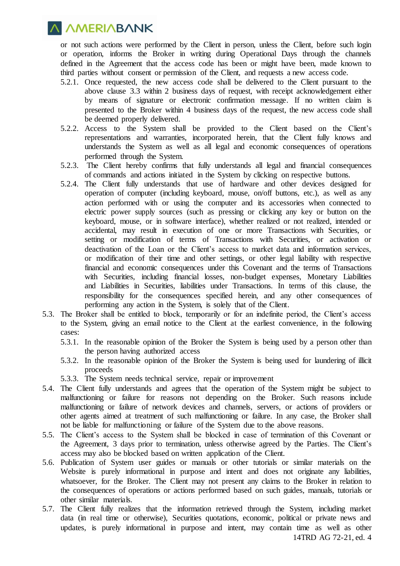**A AMERIABANK** 

or not such actions were performed by the Client in person, unless the Client, before such login or operation, informs the Broker in writing during Operational Days through the channels defined in the Agreement that the access code has been or might have been, made known to third parties without consent or permission of the Client, and requests a new access code.

- 5.2.1. Once requested, the new access code shall be delivered to the Client pursuant to the above clause 3.3 within 2 business days of request, with receipt acknowledgement either by means of signature or electronic confirmation message. If no written claim is presented to the Broker within 4 business days of the request, the new access code shall be deemed properly delivered.
- 5.2.2. Access to the System shall be provided to the Client based on the Client's representations and warranties, incorporated herein, that the Client fully knows and understands the System as well as all legal and economic consequences of operations performed through the System.
- 5.2.3. The Client hereby confirms that fully understands all legal and financial consequences of commands and actions initiated in the System by clicking on respective buttons.
- 5.2.4. The Client fully understands that use of hardware and other devices designed for operation of computer (including keyboard, mouse, on/off buttons, etc.), as well as any action performed with or using the computer and its accessories when connected to electric power supply sources (such as pressing or clicking any key or button on the keyboard, mouse, or in software interface), whether realized or not realized, intended or accidental, may result in execution of one or more Transactions with Securities, or setting or modification of terms of Transactions with Securities, or activation or deactivation of the Loan or the Client's access to market data and information services, or modification of their time and other settings, or other legal liability with respective financial and economic consequences under this Covenant and the terms of Transactions with Securities, including financial losses, non-budget expenses, Monetary Liabilities and Liabilities in Securities, liabilities under Transactions. In terms of this clause, the responsibility for the consequences specified herein, and any other consequences of performing any action in the System, is solely that of the Client.
- 5.3. The Broker shall be entitled to block, temporarily or for an indefinite period, the Client's access to the System, giving an email notice to the Client at the earliest convenience, in the following cases:
	- 5.3.1. In the reasonable opinion of the Broker the System is being used by a person other than the person having authorized access
	- 5.3.2. In the reasonable opinion of the Broker the System is being used for laundering of illicit proceeds
	- 5.3.3. The System needs technical service, repair or improvement
- 5.4. The Client fully understands and agrees that the operation of the System might be subject to malfunctioning or failure for reasons not depending on the Broker. Such reasons include malfunctioning or failure of network devices and channels, servers, or actions of providers or other agents aimed at treatment of such malfunctioning or failure. In any case, the Broker shall not be liable for malfunctioning or failure of the System due to the above reasons.
- 5.5. The Client's access to the System shall be blocked in case of termination of this Covenant or the Agreement, 3 days prior to termination, unless otherwise agreed by the Parties. The Client's access may also be blocked based on written application of the Client.
- 5.6. Publication of System user guides or manuals or other tutorials or similar materials on the Website is purely informational in purpose and intent and does not originate any liabilities, whatsoever, for the Broker. The Client may not present any claims to the Broker in relation to the consequences of operations or actions performed based on such guides, manuals, tutorials or other similar materials.
- 5.7. The Client fully realizes that the information retrieved through the System, including market data (in real time or otherwise), Securities quotations, economic, political or private news and updates, is purely informational in purpose and intent, may contain time as well as other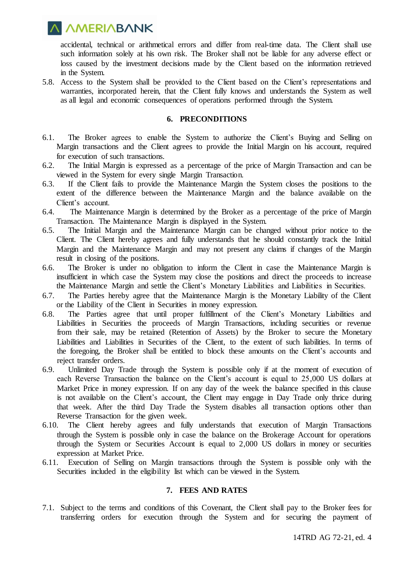**A AMERIABANK** 

accidental, technical or arithmetical errors and differ from real-time data. The Client shall use such information solely at his own risk. The Broker shall not be liable for any adverse effect or loss caused by the investment decisions made by the Client based on the information retrieved in the System.

5.8. Access to the System shall be provided to the Client based on the Client's representations and warranties, incorporated herein, that the Client fully knows and understands the System as well as all legal and economic consequences of operations performed through the System.

#### **6. PRECONDITIONS**

- 6.1. The Broker agrees to enable the System to authorize the Client's Buying and Selling on Margin transactions and the Client agrees to provide the Initial Margin on his account, required for execution of such transactions.
- 6.2. The Initial Margin is expressed as a percentage of the price of Margin Transaction and can be viewed in the System for every single Margin Transaction.
- 6.3. If the Client fails to provide the Maintenance Margin the System closes the positions to the extent of the difference between the Maintenance Margin and the balance available on the Client's account.
- 6.4. The Maintenance Margin is determined by the Broker as a percentage of the price of Margin Transaction. The Maintenance Margin is displayed in the System.
- 6.5. The Initial Margin and the Maintenance Margin can be changed without prior notice to the Client. The Client hereby agrees and fully understands that he should constantly track the Initial Margin and the Maintenance Margin and may not present any claims if changes of the Margin result in closing of the positions.
- 6.6. The Broker is under no obligation to inform the Client in case the Maintenance Margin is insufficient in which case the System may close the positions and direct the proceeds to increase the Maintenance Margin and settle the Client's Monetary Liabilities and Liabilities in Securities.
- 6.7. The Parties hereby agree that the Maintenance Margin is the Monetary Liability of the Client or the Liability of the Client in Securities in money expression.
- 6.8. The Parties agree that until proper fulfillment of the Client's Monetary Liabilities and Liabilities in Securities the proceeds of Margin Transactions, including securities or revenue from their sale, may be retained (Retention of Assets) by the Broker to secure the Monetary Liabilities and Liabilities in Securities of the Client, to the extent of such liabilities. In terms of the foregoing, the Broker shall be entitled to block these amounts on the Client's accounts and reject transfer orders.
- 6.9. Unlimited Day Trade through the System is possible only if at the moment of execution of each Reverse Transaction the balance on the Client's account is equal to 25,000 US dollars at Market Price in money expression. If on any day of the week the balance specified in this clause is not available on the Client's account, the Client may engage in Day Trade only thrice during that week. After the third Day Trade the System disables all transaction options other than Reverse Transaction for the given week.
- 6.10. The Client hereby agrees and fully understands that execution of Margin Transactions through the System is possible only in case the balance on the Brokerage Account for operations through the System or Securities Account is equal to 2,000 US dollars in money or securities expression at Market Price.
- 6.11. Execution of Selling on Margin transactions through the System is possible only with the Securities included in the eligibility list which can be viewed in the System.

## **7. FEES AND RATES**

7.1. Subject to the terms and conditions of this Covenant, the Client shall pay to the Broker fees for transferring orders for execution through the System and for securing the payment of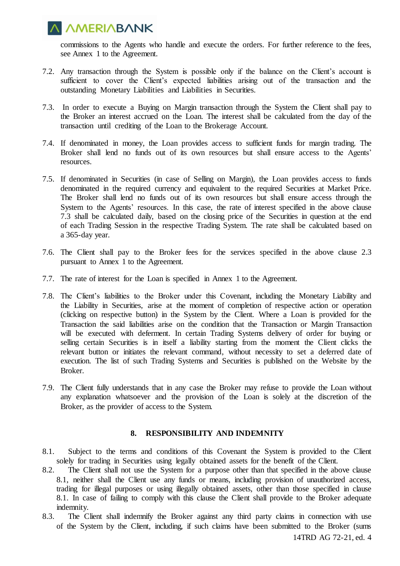

commissions to the Agents who handle and execute the orders. For further reference to the fees, see Annex 1 to the Agreement.

- 7.2. Any transaction through the System is possible only if the balance on the Client's account is sufficient to cover the Client's expected liabilities arising out of the transaction and the outstanding Monetary Liabilities and Liabilities in Securities.
- 7.3. In order to execute a Buying on Margin transaction through the System the Client shall pay to the Broker an interest accrued on the Loan. The interest shall be calculated from the day of the transaction until crediting of the Loan to the Brokerage Account.
- 7.4. If denominated in money, the Loan provides access to sufficient funds for margin trading. The Broker shall lend no funds out of its own resources but shall ensure access to the Agents' resources.
- 7.5. If denominated in Securities (in case of Selling on Margin), the Loan provides access to funds denominated in the required currency and equivalent to the required Securities at Market Price. The Broker shall lend no funds out of its own resources but shall ensure access through the System to the Agents' resources. In this case, the rate of interest specified in the above clause 7.3 shall be calculated daily, based on the closing price of the Securities in question at the end of each Trading Session in the respective Trading System. The rate shall be calculated based on a 365-day year.
- 7.6. The Client shall pay to the Broker fees for the services specified in the above clause 2.3 pursuant to Annex 1 to the Agreement.
- 7.7. The rate of interest for the Loan is specified in Annex 1 to the Agreement.
- 7.8. The Client's liabilities to the Broker under this Covenant, including the Monetary Liability and the Liability in Securities, arise at the moment of completion of respective action or operation (clicking on respective button) in the System by the Client. Where a Loan is provided for the Transaction the said liabilities arise on the condition that the Transaction or Margin Transaction will be executed with deferment. In certain Trading Systems delivery of order for buying or selling certain Securities is in itself a liability starting from the moment the Client clicks the relevant button or initiates the relevant command, without necessity to set a deferred date of execution. The list of such Trading Systems and Securities is published on the Website by the Broker.
- 7.9. The Client fully understands that in any case the Broker may refuse to provide the Loan without any explanation whatsoever and the provision of the Loan is solely at the discretion of the Broker, as the provider of access to the System.

## **8. RESPONSIBILITY AND INDEMNITY**

- 8.1. Subject to the terms and conditions of this Covenant the System is provided to the Client solely for trading in Securities using legally obtained assets for the benefit of the Client.
- 8.2. The Client shall not use the System for a purpose other than that specified in the above clause 8.1, neither shall the Client use any funds or means, including provision of unauthorized access, trading for illegal purposes or using illegally obtained assets, other than those specified in clause 8.1. In case of failing to comply with this clause the Client shall provide to the Broker adequate indemnity.
- 8.3. The Client shall indemnify the Broker against any third party claims in connection with use of the System by the Client, including, if such claims have been submitted to the Broker (sums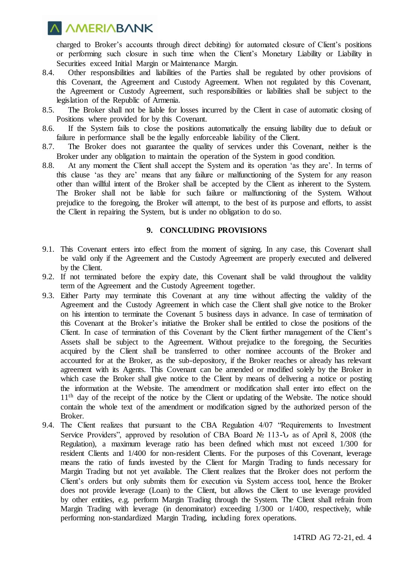# **A AMERIABANK**

charged to Broker's accounts through direct debiting) for automated closure of Client's positions or performing such closure in such time when the Client's Monetary Liability or Liability in Securities exceed Initial Margin or Maintenance Margin.

- 8.4. Other responsibilities and liabilities of the Parties shall be regulated by other provisions of this Covenant, the Agreement and Custody Agreement. When not regulated by this Covenant, the Agreement or Custody Agreement, such responsibilities or liabilities shall be subject to the legislation of the Republic of Armenia.
- 8.5. The Broker shall not be liable for losses incurred by the Client in case of automatic closing of Positions where provided for by this Covenant.
- 8.6. If the System fails to close the positions automatically the ensuing liability due to default or failure in performance shall be the legally enforceable liability of the Client.
- 8.7. The Broker does not guarantee the quality of services under this Covenant, neither is the Broker under any obligation to maintain the operation of the System in good condition.
- 8.8. At any moment the Client shall accept the System and its operation 'as they are'. In terms of this clause 'as they are' means that any failure or malfunctioning of the System for any reason other than willful intent of the Broker shall be accepted by the Client as inherent to the System. The Broker shall not be liable for such failure or malfunctioning of the System. Without prejudice to the foregoing, the Broker will attempt, to the best of its purpose and efforts, to assist the Client in repairing the System, but is under no obligation to do so.

## **9. CONCLUDING PROVISIONS**

- 9.1. This Covenant enters into effect from the moment of signing. In any case, this Covenant shall be valid only if the Agreement and the Custody Agreement are properly executed and delivered by the Client.
- 9.2. If not terminated before the expiry date, this Covenant shall be valid throughout the validity term of the Agreement and the Custody Agreement together.
- 9.3. Either Party may terminate this Covenant at any time without affecting the validity of the Agreement and the Custody Agreement in which case the Client shall give notice to the Broker on his intention to terminate the Covenant 5 business days in advance. In case of termination of this Covenant at the Broker's initiative the Broker shall be entitled to close the positions of the Client. In case of termination of this Covenant by the Client further management of the Client's Assets shall be subject to the Agreement. Without prejudice to the foregoing, the Securities acquired by the Client shall be transferred to other nominee accounts of the Broker and accounted for at the Broker, as the sub-depository, if the Broker reaches or already has relevant agreement with its Agents. This Covenant can be amended or modified solely by the Broker in which case the Broker shall give notice to the Client by means of delivering a notice or posting the information at the Website. The amendment or modification shall enter into effect on the 11<sup>th</sup> day of the receipt of the notice by the Client or updating of the Website. The notice should contain the whole text of the amendment or modification signed by the authorized person of the Broker.
- 9.4. The Client realizes that pursuant to the CBA Regulation 4/07 "Requirements to Investment Service Providers", approved by resolution of CBA Board № 113-Ն as of April 8, 2008 (the Regulation), a maximum leverage ratio has been defined which must not exceed 1/300 for resident Clients and 1/400 for non-resident Clients. For the purposes of this Covenant, leverage means the ratio of funds invested by the Client for Margin Trading to funds necessary for Margin Trading but not yet available. The Client realizes that the Broker does not perform the Client's orders but only submits them for execution via System access tool, hence the Broker does not provide leverage (Loan) to the Client, but allows the Client to use leverage provided by other entities, e.g. perform Margin Trading through the System. The Client shall refrain from Margin Trading with leverage (in denominator) exceeding 1/300 or 1/400, respectively, while performing non-standardized Margin Trading, including forex operations.